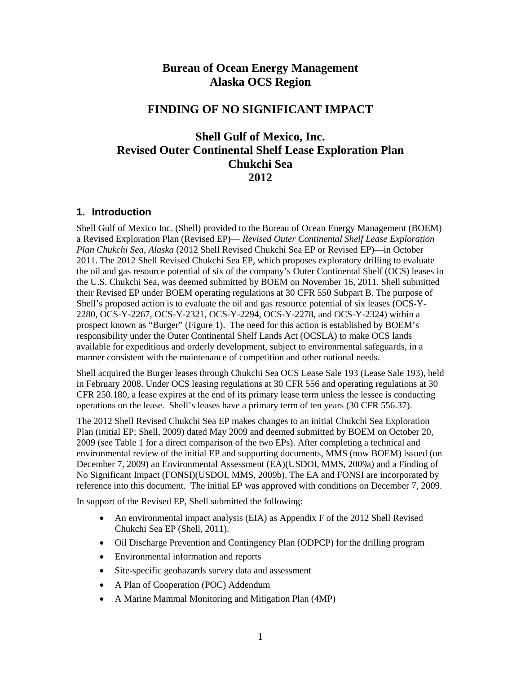## **Bureau of Ocean Energy Management Alaska OCS Region**

## **FINDING OF NO SIGNIFICANT IMPACT**

## **Shell Gulf of Mexico, Inc. Revised Outer Continental Shelf Lease Exploration Plan Chukchi Sea 2012**

### **1. Introduction**

Shell Gulf of Mexico Inc. (Shell) provided to the Bureau of Ocean Energy Management (BOEM) a Revised Exploration Plan (Revised EP)— *Revised Outer Continental Shelf Lease Exploration Plan Chukchi Sea, Alaska* (2012 Shell Revised Chukchi Sea EP or Revised EP)—in October 2011. The 2012 Shell Revised Chukchi Sea EP, which proposes exploratory drilling to evaluate the oil and gas resource potential of six of the company's Outer Continental Shelf (OCS) leases in the U.S. Chukchi Sea, was deemed submitted by BOEM on November 16, 2011. Shell submitted their Revised EP under BOEM operating regulations at 30 CFR 550 Subpart B. The purpose of Shell's proposed action is to evaluate the oil and gas resource potential of six leases (OCS-Y-2280, OCS-Y-2267, OCS-Y-2321, OCS-Y-2294, OCS-Y-2278, and OCS-Y-2324) within a prospect known as "Burger" (Figure 1). The need for this action is established by BOEM's responsibility under the Outer Continental Shelf Lands Act (OCSLA) to make OCS lands available for expeditious and orderly development, subject to environmental safeguards, in a manner consistent with the maintenance of competition and other national needs.

Shell acquired the Burger leases through Chukchi Sea OCS Lease Sale 193 (Lease Sale 193), held in February 2008. Under OCS leasing regulations at 30 CFR 556 and operating regulations at 30 CFR 250.180, a lease expires at the end of its primary lease term unless the lessee is conducting operations on the lease. Shell's leases have a primary term of ten years (30 CFR 556.37).

The 2012 Shell Revised Chukchi Sea EP makes changes to an initial Chukchi Sea Exploration Plan (initial EP; Shell, 2009) dated May 2009 and deemed submitted by BOEM on October 20, 2009 (see Table 1 for a direct comparison of the two EPs). After completing a technical and environmental review of the initial EP and supporting documents, MMS (now BOEM) issued (on December 7, 2009) an Environmental Assessment (EA)(USDOI, MMS, 2009a) and a Finding of No Significant Impact (FONSI)(USDOI, MMS, 2009b). The EA and FONSI are incorporated by reference into this document. The initial EP was approved with conditions on December 7, 2009.

In support of the Revised EP, Shell submitted the following:

- An environmental impact analysis (EIA) as Appendix F of the 2012 Shell Revised Chukchi Sea EP (Shell, 2011).
- Oil Discharge Prevention and Contingency Plan (ODPCP) for the drilling program
- Environmental information and reports
- Site-specific geohazards survey data and assessment
- A Plan of Cooperation (POC) Addendum
- A Marine Mammal Monitoring and Mitigation Plan (4MP)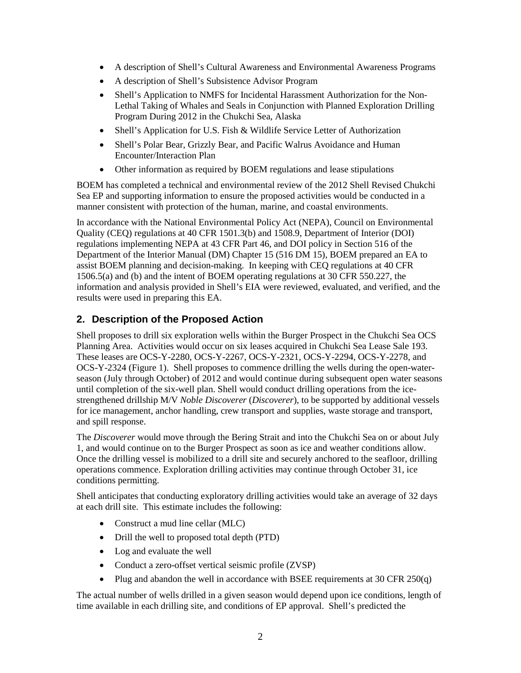- A description of Shell's Cultural Awareness and Environmental Awareness Programs
- A description of Shell's Subsistence Advisor Program
- Shell's Application to NMFS for Incidental Harassment Authorization for the Non-Lethal Taking of Whales and Seals in Conjunction with Planned Exploration Drilling Program During 2012 in the Chukchi Sea, Alaska
- Shell's Application for U.S. Fish & Wildlife Service Letter of Authorization
- Shell's Polar Bear, Grizzly Bear, and Pacific Walrus Avoidance and Human Encounter/Interaction Plan
- Other information as required by BOEM regulations and lease stipulations

BOEM has completed a technical and environmental review of the 2012 Shell Revised Chukchi Sea EP and supporting information to ensure the proposed activities would be conducted in a manner consistent with protection of the human, marine, and coastal environments.

In accordance with the National Environmental Policy Act (NEPA), Council on Environmental Quality (CEQ) regulations at 40 CFR 1501.3(b) and 1508.9, Department of Interior (DOI) regulations implementing NEPA at 43 CFR Part 46, and DOI policy in Section 516 of the Department of the Interior Manual (DM) Chapter 15 (516 DM 15), BOEM prepared an EA to assist BOEM planning and decision-making. In keeping with CEQ regulations at 40 CFR 1506.5(a) and (b) and the intent of BOEM operating regulations at 30 CFR 550.227, the information and analysis provided in Shell's EIA were reviewed, evaluated, and verified, and the results were used in preparing this EA.

## **2. Description of the Proposed Action**

Shell proposes to drill six exploration wells within the Burger Prospect in the Chukchi Sea OCS Planning Area. Activities would occur on six leases acquired in Chukchi Sea Lease Sale 193. These leases are OCS-Y-2280, OCS-Y-2267, OCS-Y-2321, OCS-Y-2294, OCS-Y-2278, and OCS-Y-2324 (Figure 1). Shell proposes to commence drilling the wells during the open-waterseason (July through October) of 2012 and would continue during subsequent open water seasons until completion of the six-well plan. Shell would conduct drilling operations from the icestrengthened drillship M/V *Noble Discoverer* (*Discoverer*), to be supported by additional vessels for ice management, anchor handling, crew transport and supplies, waste storage and transport, and spill response.

The *Discoverer* would move through the Bering Strait and into the Chukchi Sea on or about July 1, and would continue on to the Burger Prospect as soon as ice and weather conditions allow. Once the drilling vessel is mobilized to a drill site and securely anchored to the seafloor, drilling operations commence. Exploration drilling activities may continue through October 31, ice conditions permitting.

Shell anticipates that conducting exploratory drilling activities would take an average of 32 days at each drill site. This estimate includes the following:

- Construct a mud line cellar (MLC)
- Drill the well to proposed total depth (PTD)
- Log and evaluate the well
- Conduct a zero-offset vertical seismic profile (ZVSP)
- Plug and abandon the well in accordance with BSEE requirements at 30 CFR 250(q)

The actual number of wells drilled in a given season would depend upon ice conditions, length of time available in each drilling site, and conditions of EP approval. Shell's predicted the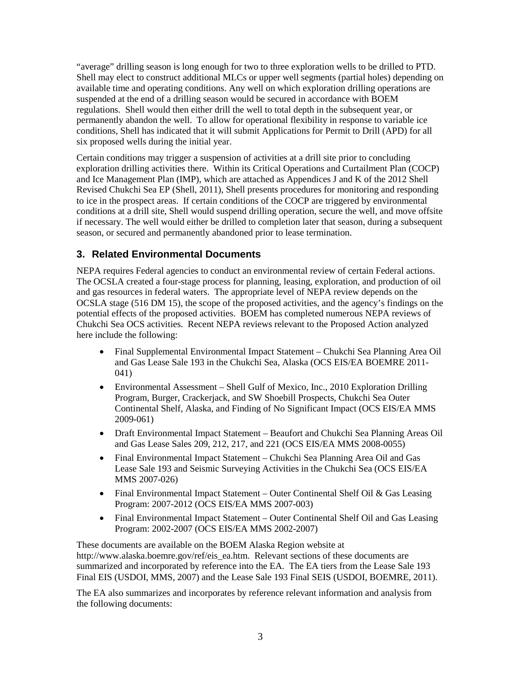"average" drilling season is long enough for two to three exploration wells to be drilled to PTD. Shell may elect to construct additional MLCs or upper well segments (partial holes) depending on available time and operating conditions. Any well on which exploration drilling operations are suspended at the end of a drilling season would be secured in accordance with BOEM regulations. Shell would then either drill the well to total depth in the subsequent year, or permanently abandon the well. To allow for operational flexibility in response to variable ice conditions, Shell has indicated that it will submit Applications for Permit to Drill (APD) for all six proposed wells during the initial year.

Certain conditions may trigger a suspension of activities at a drill site prior to concluding exploration drilling activities there. Within its Critical Operations and Curtailment Plan (COCP) and Ice Management Plan (IMP), which are attached as Appendices J and K of the 2012 Shell Revised Chukchi Sea EP (Shell, 2011), Shell presents procedures for monitoring and responding to ice in the prospect areas. If certain conditions of the COCP are triggered by environmental conditions at a drill site, Shell would suspend drilling operation, secure the well, and move offsite if necessary. The well would either be drilled to completion later that season, during a subsequent season, or secured and permanently abandoned prior to lease termination.

## **3. Related Environmental Documents**

NEPA requires Federal agencies to conduct an environmental review of certain Federal actions. The OCSLA created a four-stage process for planning, leasing, exploration, and production of oil and gas resources in federal waters. The appropriate level of NEPA review depends on the OCSLA stage (516 DM 15), the scope of the proposed activities, and the agency's findings on the potential effects of the proposed activities. BOEM has completed numerous NEPA reviews of Chukchi Sea OCS activities. Recent NEPA reviews relevant to the Proposed Action analyzed here include the following:

- Final Supplemental Environmental Impact Statement Chukchi Sea Planning Area Oil and Gas Lease Sale 193 in the Chukchi Sea, Alaska (OCS EIS/EA BOEMRE 2011- 041)
- Environmental Assessment Shell Gulf of Mexico, Inc., 2010 Exploration Drilling Program, Burger, Crackerjack, and SW Shoebill Prospects, Chukchi Sea Outer Continental Shelf, Alaska, and Finding of No Significant Impact (OCS EIS/EA MMS 2009-061)
- Draft Environmental Impact Statement Beaufort and Chukchi Sea Planning Areas Oil and Gas Lease Sales 209, 212, 217, and 221 (OCS EIS/EA MMS 2008-0055)
- Final Environmental Impact Statement Chukchi Sea Planning Area Oil and Gas Lease Sale 193 and Seismic Surveying Activities in the Chukchi Sea (OCS EIS/EA MMS 2007-026)
- Final Environmental Impact Statement Outer Continental Shelf Oil & Gas Leasing Program: 2007-2012 (OCS EIS/EA MMS 2007-003)
- Final Environmental Impact Statement Outer Continental Shelf Oil and Gas Leasing Program: 2002-2007 (OCS EIS/EA MMS 2002-2007)

These documents are available on the BOEM Alaska Region website at http://www.alaska.boemre.gov/ref/eis\_ea.htm. Relevant sections of these documents are summarized and incorporated by reference into the EA. The EA tiers from the Lease Sale 193 Final EIS (USDOI, MMS, 2007) and the Lease Sale 193 Final SEIS (USDOI, BOEMRE, 2011).

The EA also summarizes and incorporates by reference relevant information and analysis from the following documents: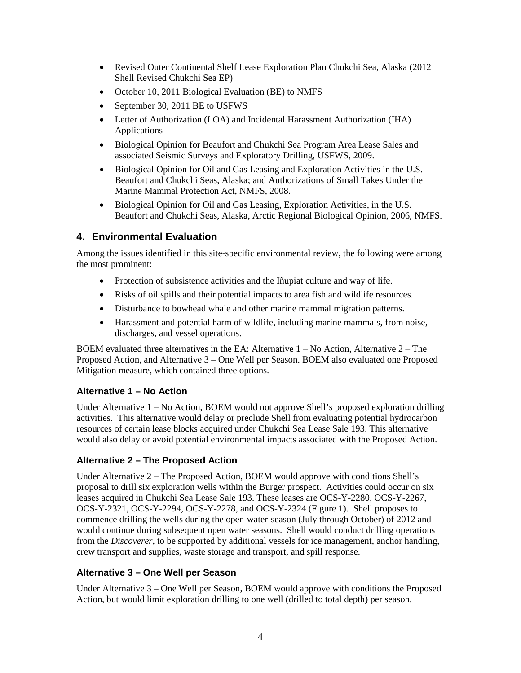- Revised Outer Continental Shelf Lease Exploration Plan Chukchi Sea, Alaska (2012) Shell Revised Chukchi Sea EP)
- October 10, 2011 Biological Evaluation (BE) to NMFS
- September 30, 2011 BE to USFWS
- Letter of Authorization (LOA) and Incidental Harassment Authorization (IHA) Applications
- Biological Opinion for Beaufort and Chukchi Sea Program Area Lease Sales and associated Seismic Surveys and Exploratory Drilling, USFWS, 2009.
- Biological Opinion for Oil and Gas Leasing and Exploration Activities in the U.S. Beaufort and Chukchi Seas, Alaska; and Authorizations of Small Takes Under the Marine Mammal Protection Act, NMFS, 2008.
- Biological Opinion for Oil and Gas Leasing, Exploration Activities, in the U.S. Beaufort and Chukchi Seas, Alaska, Arctic Regional Biological Opinion, 2006, NMFS.

### **4. Environmental Evaluation**

Among the issues identified in this site-specific environmental review, the following were among the most prominent:

- Protection of subsistence activities and the Iñupiat culture and way of life.
- Risks of oil spills and their potential impacts to area fish and wildlife resources.
- Disturbance to bowhead whale and other marine mammal migration patterns.
- Harassment and potential harm of wildlife, including marine mammals, from noise, discharges, and vessel operations.

BOEM evaluated three alternatives in the EA: Alternative  $1 - No$  Action, Alternative  $2 - The$ Proposed Action, and Alternative 3 – One Well per Season. BOEM also evaluated one Proposed Mitigation measure, which contained three options.

#### **Alternative 1 – No Action**

Under Alternative 1 – No Action, BOEM would not approve Shell's proposed exploration drilling activities. This alternative would delay or preclude Shell from evaluating potential hydrocarbon resources of certain lease blocks acquired under Chukchi Sea Lease Sale 193. This alternative would also delay or avoid potential environmental impacts associated with the Proposed Action.

### **Alternative 2 – The Proposed Action**

Under Alternative 2 – The Proposed Action, BOEM would approve with conditions Shell's proposal to drill six exploration wells within the Burger prospect. Activities could occur on six leases acquired in Chukchi Sea Lease Sale 193. These leases are OCS-Y-2280, OCS-Y-2267, OCS-Y-2321, OCS-Y-2294, OCS-Y-2278, and OCS-Y-2324 (Figure 1). Shell proposes to commence drilling the wells during the open-water-season (July through October) of 2012 and would continue during subsequent open water seasons. Shell would conduct drilling operations from the *Discoverer*, to be supported by additional vessels for ice management, anchor handling, crew transport and supplies, waste storage and transport, and spill response.

#### **Alternative 3 – One Well per Season**

Under Alternative 3 – One Well per Season, BOEM would approve with conditions the Proposed Action, but would limit exploration drilling to one well (drilled to total depth) per season.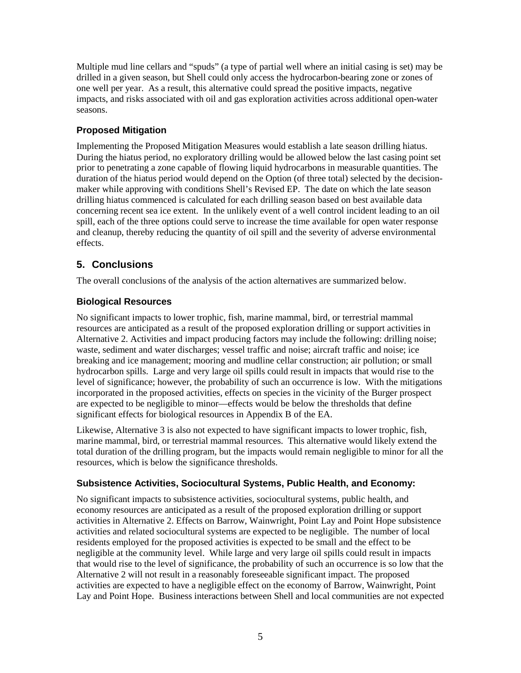Multiple mud line cellars and "spuds" (a type of partial well where an initial casing is set) may be drilled in a given season, but Shell could only access the hydrocarbon-bearing zone or zones of one well per year. As a result, this alternative could spread the positive impacts, negative impacts, and risks associated with oil and gas exploration activities across additional open-water seasons.

### **Proposed Mitigation**

Implementing the Proposed Mitigation Measures would establish a late season drilling hiatus. During the hiatus period, no exploratory drilling would be allowed below the last casing point set prior to penetrating a zone capable of flowing liquid hydrocarbons in measurable quantities. The duration of the hiatus period would depend on the Option (of three total) selected by the decisionmaker while approving with conditions Shell's Revised EP. The date on which the late season drilling hiatus commenced is calculated for each drilling season based on best available data concerning recent sea ice extent. In the unlikely event of a well control incident leading to an oil spill, each of the three options could serve to increase the time available for open water response and cleanup, thereby reducing the quantity of oil spill and the severity of adverse environmental effects.

# **5. Conclusions**

The overall conclusions of the analysis of the action alternatives are summarized below.

## **Biological Resources**

No significant impacts to lower trophic, fish, marine mammal, bird, or terrestrial mammal resources are anticipated as a result of the proposed exploration drilling or support activities in Alternative 2. Activities and impact producing factors may include the following: drilling noise; waste, sediment and water discharges; vessel traffic and noise; aircraft traffic and noise; ice breaking and ice management; mooring and mudline cellar construction; air pollution; or small hydrocarbon spills. Large and very large oil spills could result in impacts that would rise to the level of significance; however, the probability of such an occurrence is low. With the mitigations incorporated in the proposed activities, effects on species in the vicinity of the Burger prospect are expected to be negligible to minor—effects would be below the thresholds that define significant effects for biological resources in Appendix B of the EA.

Likewise, Alternative 3 is also not expected to have significant impacts to lower trophic, fish, marine mammal, bird, or terrestrial mammal resources. This alternative would likely extend the total duration of the drilling program, but the impacts would remain negligible to minor for all the resources, which is below the significance thresholds.

### **Subsistence Activities, Sociocultural Systems, Public Health, and Economy:**

No significant impacts to subsistence activities, sociocultural systems, public health, and economy resources are anticipated as a result of the proposed exploration drilling or support activities in Alternative 2. Effects on Barrow, Wainwright, Point Lay and Point Hope subsistence activities and related sociocultural systems are expected to be negligible. The number of local residents employed for the proposed activities is expected to be small and the effect to be negligible at the community level. While large and very large oil spills could result in impacts that would rise to the level of significance, the probability of such an occurrence is so low that the Alternative 2 will not result in a reasonably foreseeable significant impact. The proposed activities are expected to have a negligible effect on the economy of Barrow, Wainwright, Point Lay and Point Hope. Business interactions between Shell and local communities are not expected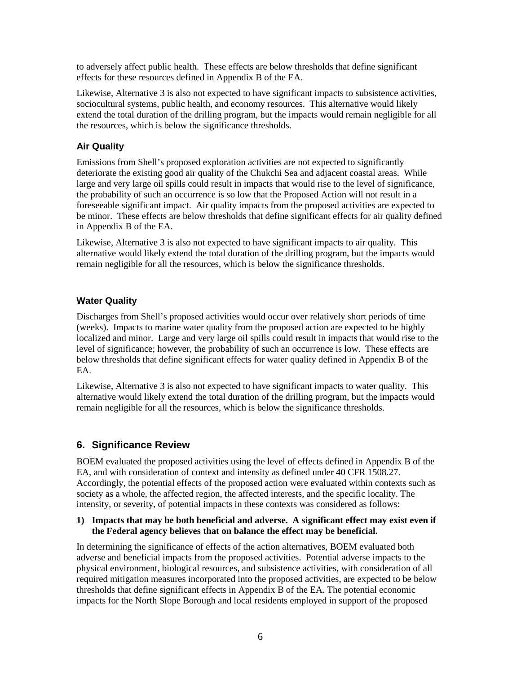to adversely affect public health. These effects are below thresholds that define significant effects for these resources defined in Appendix B of the EA.

Likewise, Alternative 3 is also not expected to have significant impacts to subsistence activities, sociocultural systems, public health, and economy resources. This alternative would likely extend the total duration of the drilling program, but the impacts would remain negligible for all the resources, which is below the significance thresholds.

### **Air Quality**

Emissions from Shell's proposed exploration activities are not expected to significantly deteriorate the existing good air quality of the Chukchi Sea and adjacent coastal areas. While large and very large oil spills could result in impacts that would rise to the level of significance, the probability of such an occurrence is so low that the Proposed Action will not result in a foreseeable significant impact. Air quality impacts from the proposed activities are expected to be minor. These effects are below thresholds that define significant effects for air quality defined in Appendix B of the EA.

Likewise, Alternative 3 is also not expected to have significant impacts to air quality. This alternative would likely extend the total duration of the drilling program, but the impacts would remain negligible for all the resources, which is below the significance thresholds.

### **Water Quality**

Discharges from Shell's proposed activities would occur over relatively short periods of time (weeks). Impacts to marine water quality from the proposed action are expected to be highly localized and minor. Large and very large oil spills could result in impacts that would rise to the level of significance; however, the probability of such an occurrence is low. These effects are below thresholds that define significant effects for water quality defined in Appendix B of the EA.

Likewise, Alternative 3 is also not expected to have significant impacts to water quality. This alternative would likely extend the total duration of the drilling program, but the impacts would remain negligible for all the resources, which is below the significance thresholds.

## **6. Significance Review**

BOEM evaluated the proposed activities using the level of effects defined in Appendix B of the EA, and with consideration of context and intensity as defined under 40 CFR 1508.27. Accordingly, the potential effects of the proposed action were evaluated within contexts such as society as a whole, the affected region, the affected interests, and the specific locality. The intensity, or severity, of potential impacts in these contexts was considered as follows:

#### **1) Impacts that may be both beneficial and adverse. A significant effect may exist even if the Federal agency believes that on balance the effect may be beneficial.**

In determining the significance of effects of the action alternatives, BOEM evaluated both adverse and beneficial impacts from the proposed activities. Potential adverse impacts to the physical environment, biological resources, and subsistence activities, with consideration of all required mitigation measures incorporated into the proposed activities, are expected to be below thresholds that define significant effects in Appendix B of the EA. The potential economic impacts for the North Slope Borough and local residents employed in support of the proposed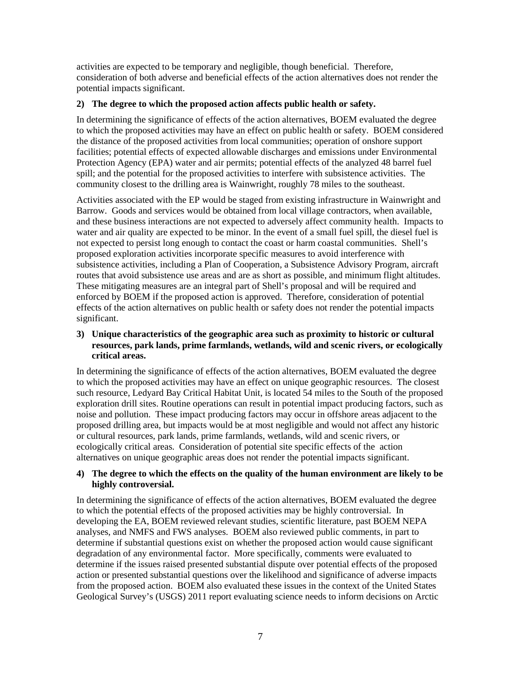activities are expected to be temporary and negligible, though beneficial. Therefore, consideration of both adverse and beneficial effects of the action alternatives does not render the potential impacts significant.

#### **2) The degree to which the proposed action affects public health or safety.**

In determining the significance of effects of the action alternatives, BOEM evaluated the degree to which the proposed activities may have an effect on public health or safety. BOEM considered the distance of the proposed activities from local communities; operation of onshore support facilities; potential effects of expected allowable discharges and emissions under Environmental Protection Agency (EPA) water and air permits; potential effects of the analyzed 48 barrel fuel spill; and the potential for the proposed activities to interfere with subsistence activities. The community closest to the drilling area is Wainwright, roughly 78 miles to the southeast.

Activities associated with the EP would be staged from existing infrastructure in Wainwright and Barrow. Goods and services would be obtained from local village contractors, when available, and these business interactions are not expected to adversely affect community health. Impacts to water and air quality are expected to be minor. In the event of a small fuel spill, the diesel fuel is not expected to persist long enough to contact the coast or harm coastal communities. Shell's proposed exploration activities incorporate specific measures to avoid interference with subsistence activities, including a Plan of Cooperation, a Subsistence Advisory Program, aircraft routes that avoid subsistence use areas and are as short as possible, and minimum flight altitudes. These mitigating measures are an integral part of Shell's proposal and will be required and enforced by BOEM if the proposed action is approved. Therefore, consideration of potential effects of the action alternatives on public health or safety does not render the potential impacts significant.

### **3) Unique characteristics of the geographic area such as proximity to historic or cultural resources, park lands, prime farmlands, wetlands, wild and scenic rivers, or ecologically critical areas.**

In determining the significance of effects of the action alternatives, BOEM evaluated the degree to which the proposed activities may have an effect on unique geographic resources. The closest such resource, Ledyard Bay Critical Habitat Unit, is located 54 miles to the South of the proposed exploration drill sites. Routine operations can result in potential impact producing factors, such as noise and pollution. These impact producing factors may occur in offshore areas adjacent to the proposed drilling area, but impacts would be at most negligible and would not affect any historic or cultural resources, park lands, prime farmlands, wetlands, wild and scenic rivers, or ecologically critical areas. Consideration of potential site specific effects of the action alternatives on unique geographic areas does not render the potential impacts significant.

### **4) The degree to which the effects on the quality of the human environment are likely to be highly controversial.**

In determining the significance of effects of the action alternatives, BOEM evaluated the degree to which the potential effects of the proposed activities may be highly controversial. In developing the EA, BOEM reviewed relevant studies, scientific literature, past BOEM NEPA analyses, and NMFS and FWS analyses. BOEM also reviewed public comments, in part to determine if substantial questions exist on whether the proposed action would cause significant degradation of any environmental factor. More specifically, comments were evaluated to determine if the issues raised presented substantial dispute over potential effects of the proposed action or presented substantial questions over the likelihood and significance of adverse impacts from the proposed action. BOEM also evaluated these issues in the context of the United States Geological Survey's (USGS) 2011 report evaluating science needs to inform decisions on Arctic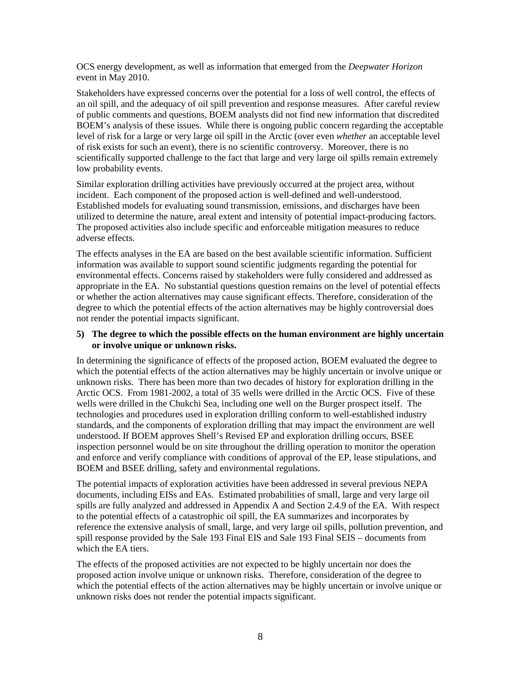OCS energy development, as well as information that emerged from the *Deepwater Horizon* event in May 2010.

Stakeholders have expressed concerns over the potential for a loss of well control, the effects of an oil spill, and the adequacy of oil spill prevention and response measures. After careful review of public comments and questions, BOEM analysts did not find new information that discredited BOEM's analysis of these issues. While there is ongoing public concern regarding the acceptable level of risk for a large or very large oil spill in the Arctic (over even *whether* an acceptable level of risk exists for such an event), there is no scientific controversy. Moreover, there is no scientifically supported challenge to the fact that large and very large oil spills remain extremely low probability events.

Similar exploration drilling activities have previously occurred at the project area, without incident. Each component of the proposed action is well-defined and well-understood. Established models for evaluating sound transmission, emissions, and discharges have been utilized to determine the nature, areal extent and intensity of potential impact-producing factors. The proposed activities also include specific and enforceable mitigation measures to reduce adverse effects.

The effects analyses in the EA are based on the best available scientific information. Sufficient information was available to support sound scientific judgments regarding the potential for environmental effects. Concerns raised by stakeholders were fully considered and addressed as appropriate in the EA. No substantial questions question remains on the level of potential effects or whether the action alternatives may cause significant effects. Therefore, consideration of the degree to which the potential effects of the action alternatives may be highly controversial does not render the potential impacts significant.

#### **5) The degree to which the possible effects on the human environment are highly uncertain or involve unique or unknown risks.**

In determining the significance of effects of the proposed action, BOEM evaluated the degree to which the potential effects of the action alternatives may be highly uncertain or involve unique or unknown risks. There has been more than two decades of history for exploration drilling in the Arctic OCS. From 1981-2002, a total of 35 wells were drilled in the Arctic OCS. Five of these wells were drilled in the Chukchi Sea, including one well on the Burger prospect itself. The technologies and procedures used in exploration drilling conform to well-established industry standards, and the components of exploration drilling that may impact the environment are well understood. If BOEM approves Shell's Revised EP and exploration drilling occurs, BSEE inspection personnel would be on site throughout the drilling operation to monitor the operation and enforce and verify compliance with conditions of approval of the EP, lease stipulations, and BOEM and BSEE drilling, safety and environmental regulations.

The potential impacts of exploration activities have been addressed in several previous NEPA documents, including EISs and EAs. Estimated probabilities of small, large and very large oil spills are fully analyzed and addressed in Appendix A and Section 2.4.9 of the EA. With respect to the potential effects of a catastrophic oil spill, the EA summarizes and incorporates by reference the extensive analysis of small, large, and very large oil spills, pollution prevention, and spill response provided by the Sale 193 Final EIS and Sale 193 Final SEIS – documents from which the EA tiers.

The effects of the proposed activities are not expected to be highly uncertain nor does the proposed action involve unique or unknown risks. Therefore, consideration of the degree to which the potential effects of the action alternatives may be highly uncertain or involve unique or unknown risks does not render the potential impacts significant.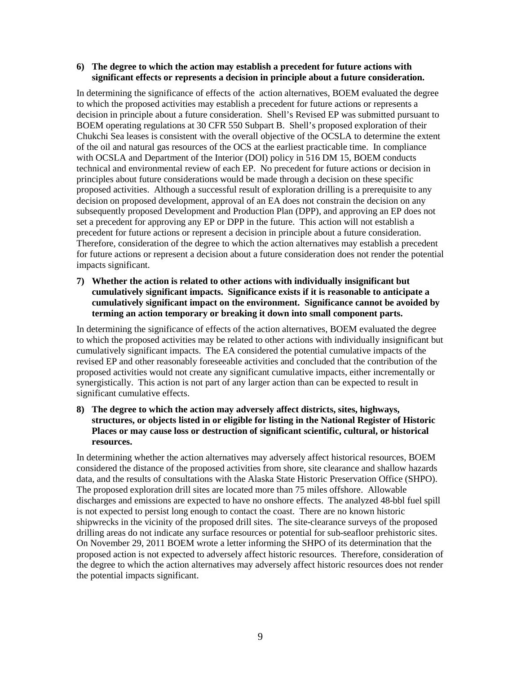#### **6) The degree to which the action may establish a precedent for future actions with significant effects or represents a decision in principle about a future consideration.**

In determining the significance of effects of the action alternatives, BOEM evaluated the degree to which the proposed activities may establish a precedent for future actions or represents a decision in principle about a future consideration. Shell's Revised EP was submitted pursuant to BOEM operating regulations at 30 CFR 550 Subpart B. Shell's proposed exploration of their Chukchi Sea leases is consistent with the overall objective of the OCSLA to determine the extent of the oil and natural gas resources of the OCS at the earliest practicable time. In compliance with OCSLA and Department of the Interior (DOI) policy in 516 DM 15, BOEM conducts technical and environmental review of each EP. No precedent for future actions or decision in principles about future considerations would be made through a decision on these specific proposed activities. Although a successful result of exploration drilling is a prerequisite to any decision on proposed development, approval of an EA does not constrain the decision on any subsequently proposed Development and Production Plan (DPP), and approving an EP does not set a precedent for approving any EP or DPP in the future. This action will not establish a precedent for future actions or represent a decision in principle about a future consideration. Therefore, consideration of the degree to which the action alternatives may establish a precedent for future actions or represent a decision about a future consideration does not render the potential impacts significant.

**7) Whether the action is related to other actions with individually insignificant but cumulatively significant impacts. Significance exists if it is reasonable to anticipate a cumulatively significant impact on the environment. Significance cannot be avoided by terming an action temporary or breaking it down into small component parts.**

In determining the significance of effects of the action alternatives, BOEM evaluated the degree to which the proposed activities may be related to other actions with individually insignificant but cumulatively significant impacts. The EA considered the potential cumulative impacts of the revised EP and other reasonably foreseeable activities and concluded that the contribution of the proposed activities would not create any significant cumulative impacts, either incrementally or synergistically. This action is not part of any larger action than can be expected to result in significant cumulative effects.

**8) The degree to which the action may adversely affect districts, sites, highways, structures, or objects listed in or eligible for listing in the National Register of Historic Places or may cause loss or destruction of significant scientific, cultural, or historical resources.** 

In determining whether the action alternatives may adversely affect historical resources, BOEM considered the distance of the proposed activities from shore, site clearance and shallow hazards data, and the results of consultations with the Alaska State Historic Preservation Office (SHPO). The proposed exploration drill sites are located more than 75 miles offshore. Allowable discharges and emissions are expected to have no onshore effects. The analyzed 48-bbl fuel spill is not expected to persist long enough to contact the coast. There are no known historic shipwrecks in the vicinity of the proposed drill sites. The site-clearance surveys of the proposed drilling areas do not indicate any surface resources or potential for sub-seafloor prehistoric sites. On November 29, 2011 BOEM wrote a letter informing the SHPO of its determination that the proposed action is not expected to adversely affect historic resources. Therefore, consideration of the degree to which the action alternatives may adversely affect historic resources does not render the potential impacts significant.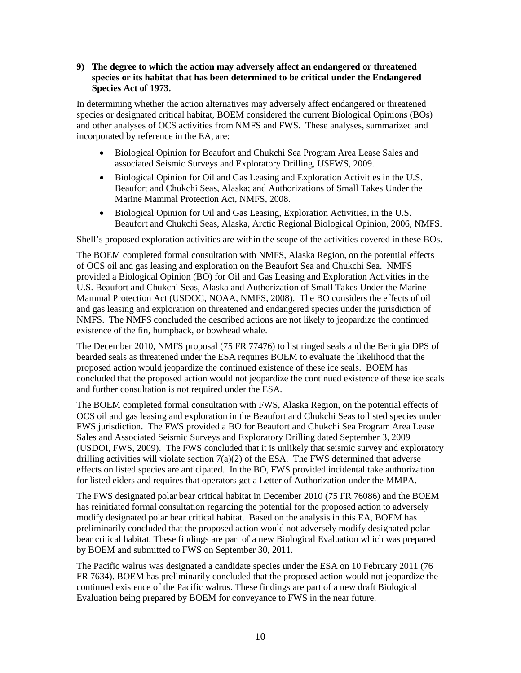#### **9) The degree to which the action may adversely affect an endangered or threatened species or its habitat that has been determined to be critical under the Endangered Species Act of 1973.**

In determining whether the action alternatives may adversely affect endangered or threatened species or designated critical habitat, BOEM considered the current Biological Opinions (BOs) and other analyses of OCS activities from NMFS and FWS. These analyses, summarized and incorporated by reference in the EA, are:

- Biological Opinion for Beaufort and Chukchi Sea Program Area Lease Sales and associated Seismic Surveys and Exploratory Drilling, USFWS, 2009.
- Biological Opinion for Oil and Gas Leasing and Exploration Activities in the U.S. Beaufort and Chukchi Seas, Alaska; and Authorizations of Small Takes Under the Marine Mammal Protection Act, NMFS, 2008.
- Biological Opinion for Oil and Gas Leasing, Exploration Activities, in the U.S. Beaufort and Chukchi Seas, Alaska, Arctic Regional Biological Opinion, 2006, NMFS.

Shell's proposed exploration activities are within the scope of the activities covered in these BOs.

The BOEM completed formal consultation with NMFS, Alaska Region, on the potential effects of OCS oil and gas leasing and exploration on the Beaufort Sea and Chukchi Sea. NMFS provided a Biological Opinion (BO) for Oil and Gas Leasing and Exploration Activities in the U.S. Beaufort and Chukchi Seas, Alaska and Authorization of Small Takes Under the Marine Mammal Protection Act (USDOC, NOAA, NMFS, 2008). The BO considers the effects of oil and gas leasing and exploration on threatened and endangered species under the jurisdiction of NMFS. The NMFS concluded the described actions are not likely to jeopardize the continued existence of the fin, humpback, or bowhead whale.

The December 2010, NMFS proposal (75 FR 77476) to list ringed seals and the Beringia DPS of bearded seals as threatened under the ESA requires BOEM to evaluate the likelihood that the proposed action would jeopardize the continued existence of these ice seals. BOEM has concluded that the proposed action would not jeopardize the continued existence of these ice seals and further consultation is not required under the ESA.

The BOEM completed formal consultation with FWS, Alaska Region, on the potential effects of OCS oil and gas leasing and exploration in the Beaufort and Chukchi Seas to listed species under FWS jurisdiction. The FWS provided a BO for Beaufort and Chukchi Sea Program Area Lease Sales and Associated Seismic Surveys and Exploratory Drilling dated September 3, 2009 (USDOI, FWS, 2009). The FWS concluded that it is unlikely that seismic survey and exploratory drilling activities will violate section  $7(a)(2)$  of the ESA. The FWS determined that adverse effects on listed species are anticipated. In the BO, FWS provided incidental take authorization for listed eiders and requires that operators get a Letter of Authorization under the MMPA.

The FWS designated polar bear critical habitat in December 2010 (75 FR 76086) and the BOEM has reinitiated formal consultation regarding the potential for the proposed action to adversely modify designated polar bear critical habitat. Based on the analysis in this EA, BOEM has preliminarily concluded that the proposed action would not adversely modify designated polar bear critical habitat. These findings are part of a new Biological Evaluation which was prepared by BOEM and submitted to FWS on September 30, 2011.

The Pacific walrus was designated a candidate species under the ESA on 10 February 2011 (76 FR 7634). BOEM has preliminarily concluded that the proposed action would not jeopardize the continued existence of the Pacific walrus. These findings are part of a new draft Biological Evaluation being prepared by BOEM for conveyance to FWS in the near future.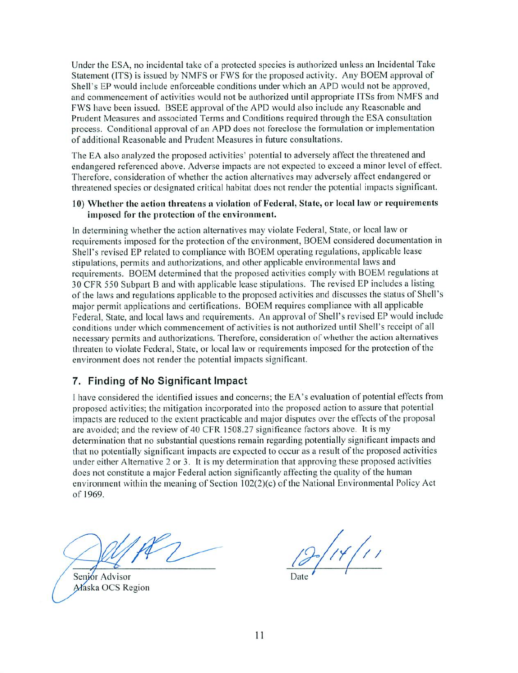Under the ESA, no incidental take of a protected species is authorized unless an Incidental Take Statement (ITS) is issued by NMFS or FWS for the proposed activity. Any BOEM approval of Shell's EP would include enforceable conditions under which an APD would not be approved, and commencement of activities would not be authorized until appropriate ITSs from NMFS and FWS have been issued. I3SEE approval of the APD would also include any Reasonable and Prudent Measures and associated Terms and Conditions required through the ESA consultation process. Conditional approval of an APD does not foreclose the formulation or implementation of additional Reasonable and Prudent Measures in future consultations.

The EA also analyzed the proposed activities' potential to adversely affect the threatened and endangered referenced above. Adverse impacts are not expected to exceed minor level of effect. Therefore, consideration of whether the action alternatives may adversely affect endangered or threatened species or designated critical habitat docs not render the potential impacts significant.

#### 10) Whether the action threatens a violation of Federal, State, or local law or requirements imposed for the protection of the environment.

In determining whether the action alternatives may violate Federal, State, or local law or requirements imposed for the protection of the environment, BOEM considered documentation in Shell's revised EP related to compliance with BOEM operating regulations, applicable lease stipulations, permits and authorizations, and other applicable environmental laws and requirements. BOEM determined that the proposed activities comply with BOEM regulations at 30 CFR 550 Subpart B and with applicable lease stipulations. The revised EP includes a listing of the laws and regulations applicable to the proposed activities and discusses the status of Shell's major permit applications and certifications. BOEM requires compliance with all applicable Federal. State, and local laws and requirements. An approval of Shell's revised EP would include conditions under which commencement of activities is not authorized until Shell's receipt of all necessary permits and authorizations. Therefore, consideration of whether the action alternatives threaten to violate Federal. State, or local law or requirements imposed for the protection of the environment does not render the potential impacts significant.

### 7. Finding of No Significant Impact

have considered the identified issues and concerns; the EA's evaluation of potential effects from proposed activities: the mitigation incorporated into the proposed action to assure that potential impacts arc reduced to the extent practicable and major disputes over the effects of the proposal are avoided; and the review of 40 CFR 1508.27 significance factors above. It is my determination that no substantial questions remain regarding potentially significant impacts and that no potentially significant impacts are expected to occur as a result of the proposed activities under either Alternative 2 or 3. It is my determination that approving these proposed activities does not constitute a major Federal action significantly affecting the quality of the human environment within the meaning of Section 102(2)(c) of the National Environmental Policy Act of 1969.

Senjor Advisor Alaska OCS Region

 $14/11$